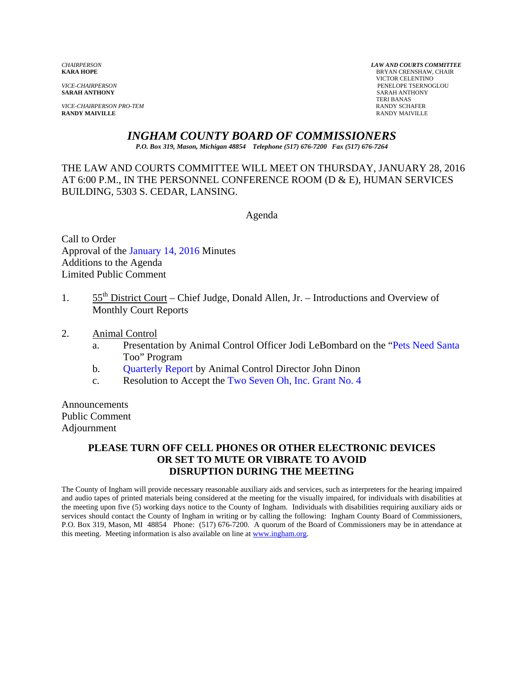**SARAH ANTHONY** SARAH ANTHONY

*VICE-CHAIRPERSON PRO-TEM* **RANDY SCHAFER RANDY SCHAFER RANDY SCHAFER RANDY SCHAFER RANDY MAIVILLE RANDY MAIVILLE** RANDY MAIVILLE

*CHAIRPERSON LAW AND COURTS COMMITTEE* **BRYAN CRENSHAW, CHAIR**  VICTOR CELENTINO *VICE-CHAIRPERSON* PENELOPE TSERNOGLOU TERI BANAS

## *INGHAM COUNTY BOARD OF COMMISSIONERS*

*P.O. Box 319, Mason, Michigan 48854 Telephone (517) 676-7200 Fax (517) 676-7264*

THE LAW AND COURTS COMMITTEE WILL MEET ON THURSDAY, JANUARY 28, 2016 AT 6:00 P.M., IN THE PERSONNEL CONFERENCE ROOM (D & E), HUMAN SERVICES BUILDING, 5303 S. CEDAR, LANSING.

Agenda

Call to Order Approval of [the January 14, 2016 Minutes](#page-1-0)  Additions to the Agenda Limited Public Comment

- 1.  $55<sup>th</sup>$  District Court Chief Judge, Donald Allen, Jr. Introductions and Overview of Monthly Court Reports
- 2. Animal Control
	- a. Presentation by Animal Control Officer Jodi LeBombard o[n the "Pets Need Santa](#page-7-0) Too" Program
	- b. [Quarterly Report by A](#page-9-0)nimal Control Director John Dinon
	- c. Resolution to Accept the Two Seven Oh, I[nc. Grant No. 4](#page-12-0)

Announcements Public Comment Adjournment

## **PLEASE TURN OFF CELL PHONES OR OTHER ELECTRONIC DEVICES OR SET TO MUTE OR VIBRATE TO AVOID DISRUPTION DURING THE MEETING**

The County of Ingham will provide necessary reasonable auxiliary aids and services, such as interpreters for the hearing impaired and audio tapes of printed materials being considered at the meeting for the visually impaired, for individuals with disabilities at the meeting upon five (5) working days notice to the County of Ingham. Individuals with disabilities requiring auxiliary aids or services should contact the County of Ingham in writing or by calling the following: Ingham County Board of Commissioners, P.O. Box 319, Mason, MI 48854 Phone: (517) 676-7200. A quorum of the Board of Commissioners may be in attendance at this meeting. Meeting information is also available on line at www.ingham.org.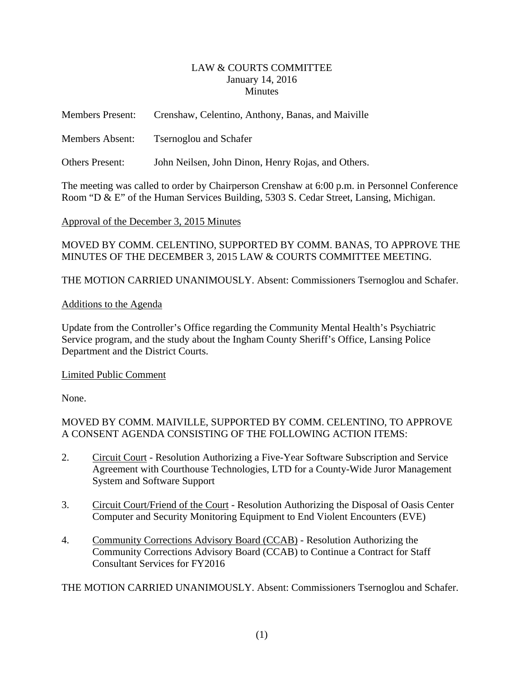#### LAW & COURTS COMMITTEE January 14, 2016 **Minutes**

<span id="page-1-0"></span>

| <b>Members Present:</b> | Crenshaw, Celentino, Anthony, Banas, and Maiville  |
|-------------------------|----------------------------------------------------|
| <b>Members Absent:</b>  | <b>T</b> sernoglou and Schafer                     |
| <b>Others Present:</b>  | John Neilsen, John Dinon, Henry Rojas, and Others. |

The meeting was called to order by Chairperson Crenshaw at 6:00 p.m. in Personnel Conference Room "D & E" of the Human Services Building, 5303 S. Cedar Street, Lansing, Michigan.

Approval of the December 3, 2015 Minutes

MOVED BY COMM. CELENTINO, SUPPORTED BY COMM. BANAS, TO APPROVE THE MINUTES OF THE DECEMBER 3, 2015 LAW & COURTS COMMITTEE MEETING.

THE MOTION CARRIED UNANIMOUSLY. Absent: Commissioners Tsernoglou and Schafer.

### Additions to the Agenda

Update from the Controller's Office regarding the Community Mental Health's Psychiatric Service program, and the study about the Ingham County Sheriff's Office, Lansing Police Department and the District Courts.

## Limited Public Comment

None.

MOVED BY COMM. MAIVILLE, SUPPORTED BY COMM. CELENTINO, TO APPROVE A CONSENT AGENDA CONSISTING OF THE FOLLOWING ACTION ITEMS:

- 2. Circuit Court Resolution Authorizing a Five-Year Software Subscription and Service Agreement with Courthouse Technologies, LTD for a County-Wide Juror Management System and Software Support
- 3. Circuit Court/Friend of the Court Resolution Authorizing the Disposal of Oasis Center Computer and Security Monitoring Equipment to End Violent Encounters (EVE)
- 4. Community Corrections Advisory Board (CCAB) Resolution Authorizing the Community Corrections Advisory Board (CCAB) to Continue a Contract for Staff Consultant Services for FY2016

THE MOTION CARRIED UNANIMOUSLY. Absent: Commissioners Tsernoglou and Schafer.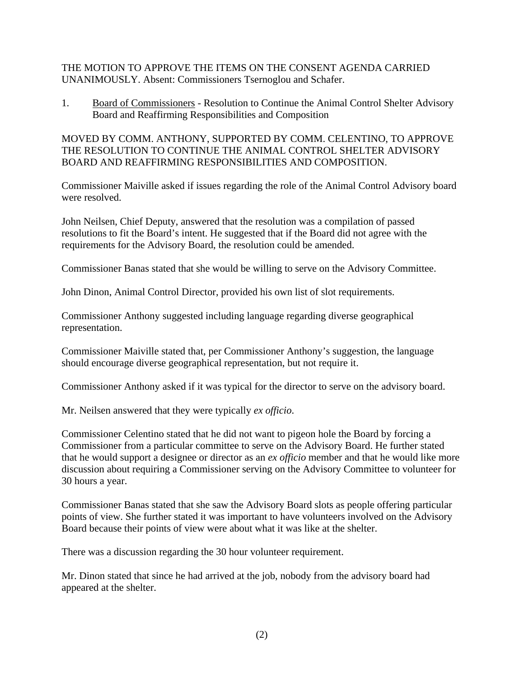THE MOTION TO APPROVE THE ITEMS ON THE CONSENT AGENDA CARRIED UNANIMOUSLY. Absent: Commissioners Tsernoglou and Schafer.

1. Board of Commissioners - Resolution to Continue the Animal Control Shelter Advisory Board and Reaffirming Responsibilities and Composition

MOVED BY COMM. ANTHONY, SUPPORTED BY COMM. CELENTINO, TO APPROVE THE RESOLUTION TO CONTINUE THE ANIMAL CONTROL SHELTER ADVISORY BOARD AND REAFFIRMING RESPONSIBILITIES AND COMPOSITION.

Commissioner Maiville asked if issues regarding the role of the Animal Control Advisory board were resolved.

John Neilsen, Chief Deputy, answered that the resolution was a compilation of passed resolutions to fit the Board's intent. He suggested that if the Board did not agree with the requirements for the Advisory Board, the resolution could be amended.

Commissioner Banas stated that she would be willing to serve on the Advisory Committee.

John Dinon, Animal Control Director, provided his own list of slot requirements.

Commissioner Anthony suggested including language regarding diverse geographical representation.

Commissioner Maiville stated that, per Commissioner Anthony's suggestion, the language should encourage diverse geographical representation, but not require it.

Commissioner Anthony asked if it was typical for the director to serve on the advisory board.

Mr. Neilsen answered that they were typically *ex officio*.

Commissioner Celentino stated that he did not want to pigeon hole the Board by forcing a Commissioner from a particular committee to serve on the Advisory Board. He further stated that he would support a designee or director as an *ex officio* member and that he would like more discussion about requiring a Commissioner serving on the Advisory Committee to volunteer for 30 hours a year.

Commissioner Banas stated that she saw the Advisory Board slots as people offering particular points of view. She further stated it was important to have volunteers involved on the Advisory Board because their points of view were about what it was like at the shelter.

There was a discussion regarding the 30 hour volunteer requirement.

Mr. Dinon stated that since he had arrived at the job, nobody from the advisory board had appeared at the shelter.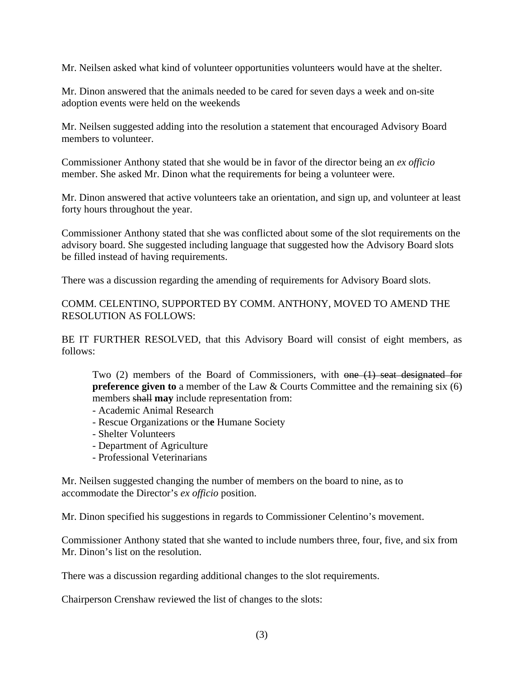Mr. Neilsen asked what kind of volunteer opportunities volunteers would have at the shelter.

Mr. Dinon answered that the animals needed to be cared for seven days a week and on-site adoption events were held on the weekends

Mr. Neilsen suggested adding into the resolution a statement that encouraged Advisory Board members to volunteer.

Commissioner Anthony stated that she would be in favor of the director being an *ex officio* member. She asked Mr. Dinon what the requirements for being a volunteer were.

Mr. Dinon answered that active volunteers take an orientation, and sign up, and volunteer at least forty hours throughout the year.

Commissioner Anthony stated that she was conflicted about some of the slot requirements on the advisory board. She suggested including language that suggested how the Advisory Board slots be filled instead of having requirements.

There was a discussion regarding the amending of requirements for Advisory Board slots.

COMM. CELENTINO, SUPPORTED BY COMM. ANTHONY, MOVED TO AMEND THE RESOLUTION AS FOLLOWS:

BE IT FURTHER RESOLVED, that this Advisory Board will consist of eight members, as follows:

Two (2) members of the Board of Commissioners, with one (1) seat designated for **preference given to** a member of the Law & Courts Committee and the remaining six (6) members shall **may** include representation from:

- Academic Animal Research
- Rescue Organizations or th**e** Humane Society
- Shelter Volunteers
- Department of Agriculture
- Professional Veterinarians

Mr. Neilsen suggested changing the number of members on the board to nine, as to accommodate the Director's *ex officio* position.

Mr. Dinon specified his suggestions in regards to Commissioner Celentino's movement.

Commissioner Anthony stated that she wanted to include numbers three, four, five, and six from Mr. Dinon's list on the resolution.

There was a discussion regarding additional changes to the slot requirements.

Chairperson Crenshaw reviewed the list of changes to the slots: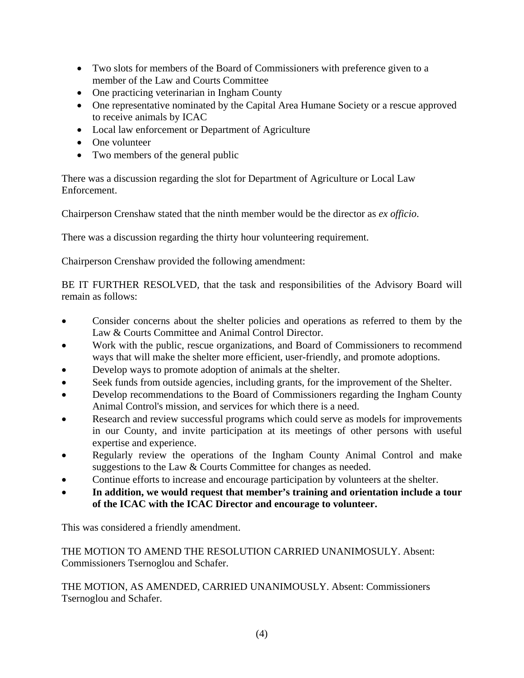- Two slots for members of the Board of Commissioners with preference given to a member of the Law and Courts Committee
- One practicing veterinarian in Ingham County
- One representative nominated by the Capital Area Humane Society or a rescue approved to receive animals by ICAC
- Local law enforcement or Department of Agriculture
- One volunteer
- Two members of the general public

There was a discussion regarding the slot for Department of Agriculture or Local Law Enforcement.

Chairperson Crenshaw stated that the ninth member would be the director as *ex officio*.

There was a discussion regarding the thirty hour volunteering requirement.

Chairperson Crenshaw provided the following amendment:

BE IT FURTHER RESOLVED, that the task and responsibilities of the Advisory Board will remain as follows:

- Consider concerns about the shelter policies and operations as referred to them by the Law & Courts Committee and Animal Control Director.
- Work with the public, rescue organizations, and Board of Commissioners to recommend ways that will make the shelter more efficient, user-friendly, and promote adoptions.
- Develop ways to promote adoption of animals at the shelter.
- Seek funds from outside agencies, including grants, for the improvement of the Shelter.
- Develop recommendations to the Board of Commissioners regarding the Ingham County Animal Control's mission, and services for which there is a need.
- Research and review successful programs which could serve as models for improvements in our County, and invite participation at its meetings of other persons with useful expertise and experience.
- Regularly review the operations of the Ingham County Animal Control and make suggestions to the Law & Courts Committee for changes as needed.
- Continue efforts to increase and encourage participation by volunteers at the shelter.
- **In addition, we would request that member's training and orientation include a tour of the ICAC with the ICAC Director and encourage to volunteer.**

This was considered a friendly amendment.

THE MOTION TO AMEND THE RESOLUTION CARRIED UNANIMOSULY. Absent: Commissioners Tsernoglou and Schafer.

THE MOTION, AS AMENDED, CARRIED UNANIMOUSLY. Absent: Commissioners Tsernoglou and Schafer.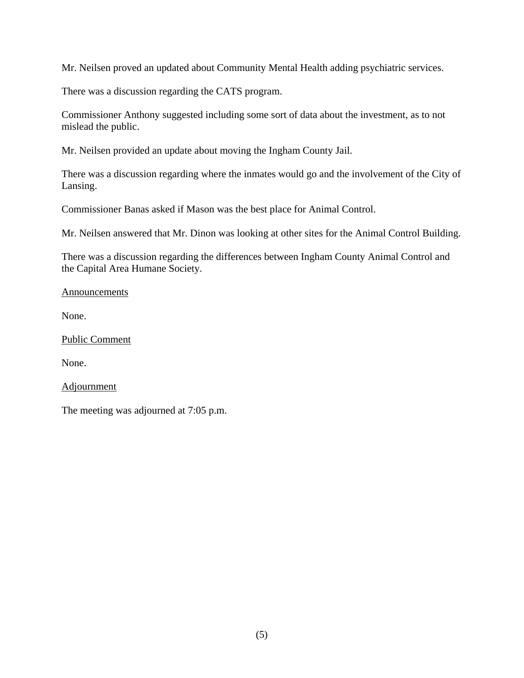Mr. Neilsen proved an updated about Community Mental Health adding psychiatric services.

There was a discussion regarding the CATS program.

Commissioner Anthony suggested including some sort of data about the investment, as to not mislead the public.

Mr. Neilsen provided an update about moving the Ingham County Jail.

There was a discussion regarding where the inmates would go and the involvement of the City of Lansing.

Commissioner Banas asked if Mason was the best place for Animal Control.

Mr. Neilsen answered that Mr. Dinon was looking at other sites for the Animal Control Building.

There was a discussion regarding the differences between Ingham County Animal Control and the Capital Area Humane Society.

Announcements

None.

Public Comment

None.

Adjournment

The meeting was adjourned at 7:05 p.m.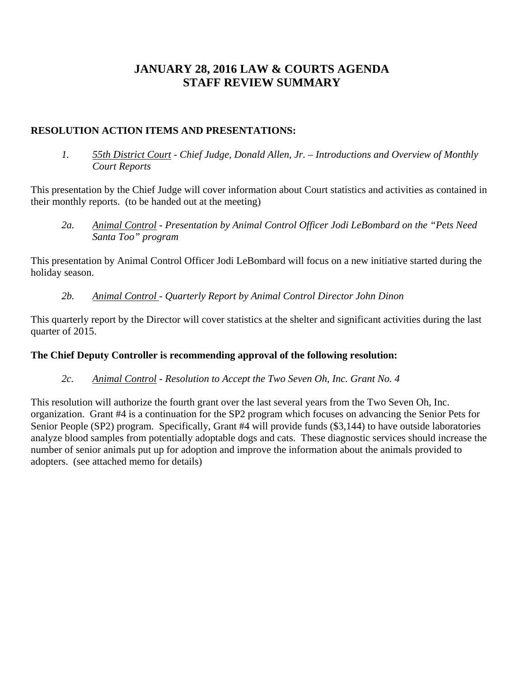## **JANUARY 28, 2016 LAW & COURTS AGENDA STAFF REVIEW SUMMARY**

### **RESOLUTION ACTION ITEMS AND PRESENTATIONS:**

*1. 55th District Court - Chief Judge, Donald Allen, Jr. – Introductions and Overview of Monthly Court Reports* 

This presentation by the Chief Judge will cover information about Court statistics and activities as contained in their monthly reports. (to be handed out at the meeting)

*2a. Animal Control - Presentation by Animal Control Officer Jodi LeBombard on the "Pets Need Santa Too" program* 

This presentation by Animal Control Officer Jodi LeBombard will focus on a new initiative started during the holiday season.

*2b. Animal Control - Quarterly Report by Animal Control Director John Dinon* 

This quarterly report by the Director will cover statistics at the shelter and significant activities during the last quarter of 2015.

## **The Chief Deputy Controller is recommending approval of the following resolution:**

*2c. Animal Control - Resolution to Accept the Two Seven Oh, Inc. Grant No. 4* 

This resolution will authorize the fourth grant over the last several years from the Two Seven Oh, Inc. organization. Grant #4 is a continuation for the SP2 program which focuses on advancing the Senior Pets for Senior People (SP2) program. Specifically, Grant #4 will provide funds (\$3,144) to have outside laboratories analyze blood samples from potentially adoptable dogs and cats. These diagnostic services should increase the number of senior animals put up for adoption and improve the information about the animals provided to adopters. (see attached memo for details)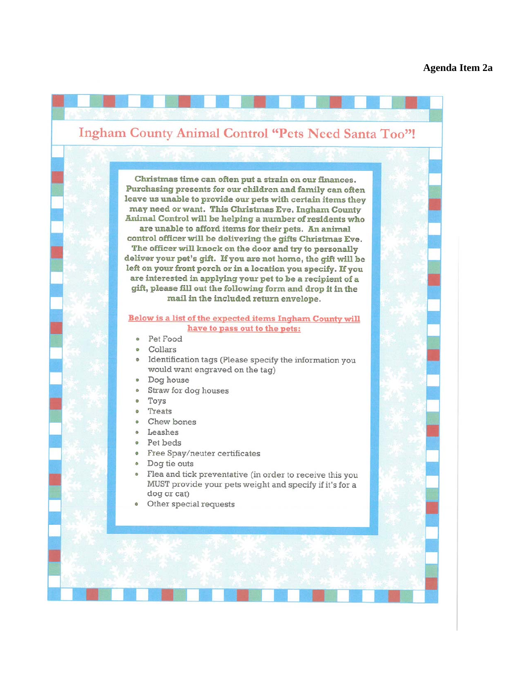# <span id="page-7-0"></span>**Ingham County Animal Control "Pets Need Santa Too"!**

Christmas time can often put a strain on our finances. Purchasing presents for our children and family can often leave us unable to provide our pets with certain items they may need or want. This Christmas Eve, Ingham County Animal Control will be helping a number of residents who are unable to afford items for their pets. An animal control officer will be delivering the gifts Christmas Eve. The officer will knock on the door and try to personally deliver your pet's gift. If you are not home, the gift will be left on your front porch or in a location you specify. If you are interested in applying your pet to be a recipient of a gift, please fill out the following form and drop it in the mail in the included return envelope.

#### **Below is a list of the expected items Ingham County will** have to pass out to the pets:

- · Pet Food
- · Collars
- Identification tags (Please specify the information you would want engraved on the tag)
- Dog house
- Straw for dog houses  $\sim$
- Toys  $\bullet$
- Treats
- Chew bones
- · Leashes
- · Pet beds
- Free Spay/neuter certificates
- · Dog tie outs
- Flea and tick preventative (in order to receive this you MUST provide your pets weight and specify if it's for a dog or cat)
- Other special requests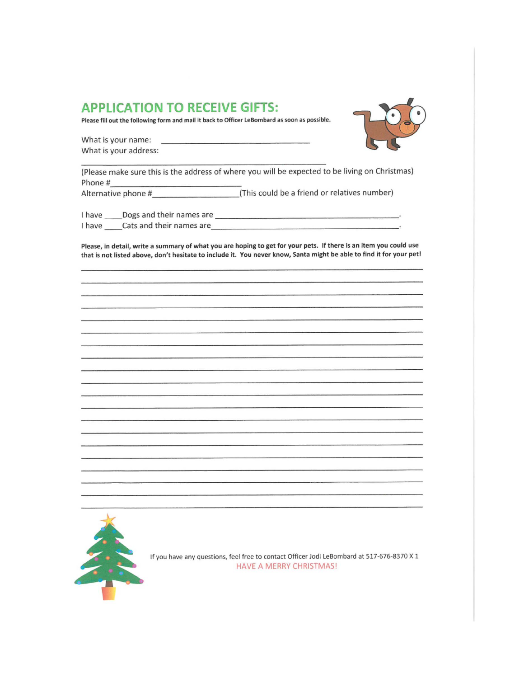## **APPLICATION TO RECEIVE GIFTS:**

Please fill out the following form and mail it back to Officer LeBombard as soon as possible.





(Please make sure this is the address of where you will be expected to be living on Christmas) Phone #

Alternative phone # (This could be a friend or relatives number)

I have Cats and their names are  $\ddot{\phantom{1}}$ 

Please, in detail, write a summary of what you are hoping to get for your pets. If there is an item you could use that is not listed above, don't hesitate to include it. You never know, Santa might be able to find it for your pet!



If you have any questions, feel free to contact Officer Jodi LeBombard at 517-676-8370 X 1 **HAVE A MERRY CHRISTMAS!**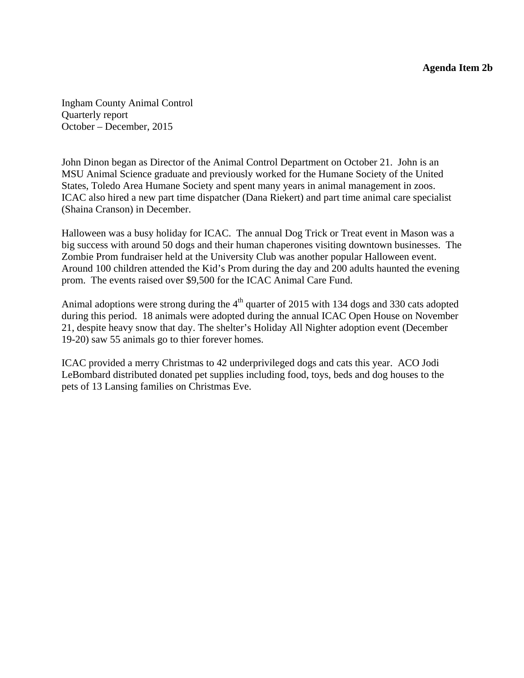<span id="page-9-0"></span>Ingham County Animal Control Quarterly report October – December, 2015

John Dinon began as Director of the Animal Control Department on October 21. John is an MSU Animal Science graduate and previously worked for the Humane Society of the United States, Toledo Area Humane Society and spent many years in animal management in zoos. ICAC also hired a new part time dispatcher (Dana Riekert) and part time animal care specialist (Shaina Cranson) in December.

Halloween was a busy holiday for ICAC. The annual Dog Trick or Treat event in Mason was a big success with around 50 dogs and their human chaperones visiting downtown businesses. The Zombie Prom fundraiser held at the University Club was another popular Halloween event. Around 100 children attended the Kid's Prom during the day and 200 adults haunted the evening prom. The events raised over \$9,500 for the ICAC Animal Care Fund.

Animal adoptions were strong during the 4<sup>th</sup> quarter of 2015 with 134 dogs and 330 cats adopted during this period. 18 animals were adopted during the annual ICAC Open House on November 21, despite heavy snow that day. The shelter's Holiday All Nighter adoption event (December 19-20) saw 55 animals go to thier forever homes.

ICAC provided a merry Christmas to 42 underprivileged dogs and cats this year. ACO Jodi LeBombard distributed donated pet supplies including food, toys, beds and dog houses to the pets of 13 Lansing families on Christmas Eve.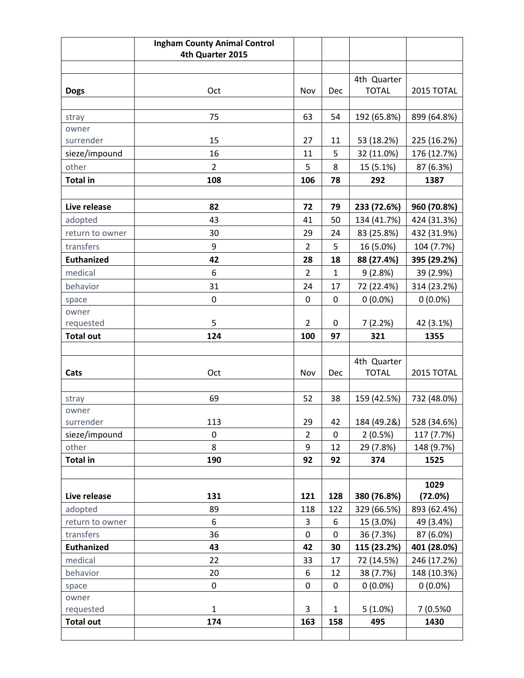|                    | <b>Ingham County Animal Control</b> |                |              |              |             |
|--------------------|-------------------------------------|----------------|--------------|--------------|-------------|
|                    | 4th Quarter 2015                    |                |              |              |             |
|                    |                                     |                |              |              |             |
|                    |                                     |                |              | 4th Quarter  |             |
| <b>Dogs</b>        | Oct                                 | Nov            | Dec          | <b>TOTAL</b> | 2015 TOTAL  |
|                    |                                     |                |              |              |             |
| stray              | 75                                  | 63             | 54           | 192 (65.8%)  | 899 (64.8%) |
| owner              |                                     |                |              |              |             |
| surrender          | 15                                  | 27             | 11           | 53 (18.2%)   | 225 (16.2%) |
| sieze/impound      | 16                                  | 11             | 5            | 32 (11.0%)   | 176 (12.7%) |
| other              | $\overline{2}$                      | 5              | 8            | 15 (5.1%)    | 87 (6.3%)   |
| <b>Total in</b>    | 108                                 | 106            | 78           | 292          | 1387        |
|                    |                                     |                |              |              |             |
| Live release       | 82                                  | 72             | 79           | 233 (72.6%)  | 960 (70.8%) |
| adopted            | 43                                  | 41             | 50           | 134 (41.7%)  | 424 (31.3%) |
| return to owner    | 30                                  | 29             | 24           | 83 (25.8%)   | 432 (31.9%) |
| transfers          | 9                                   | $\overline{2}$ | 5            | 16 (5.0%)    | 104 (7.7%)  |
| <b>Euthanized</b>  | 42                                  | 28             | 18           | 88 (27.4%)   | 395 (29.2%) |
| medical            | 6                                   | $\overline{2}$ | $\mathbf{1}$ | 9(2.8%)      | 39 (2.9%)   |
| behavior           | 31                                  | 24             | 17           | 72 (22.4%)   | 314 (23.2%) |
| space              | $\mathbf 0$                         | $\mathbf 0$    | $\mathbf 0$  | $0(0.0\%)$   | $0(0.0\%)$  |
| owner              |                                     |                |              |              |             |
| requested          | 5                                   | $\overline{2}$ | 0            | 7(2.2%)      | 42 (3.1%)   |
| <b>Total out</b>   | 124                                 | 100            | 97           | 321          | 1355        |
|                    |                                     |                |              |              |             |
|                    |                                     |                |              | 4th Quarter  |             |
| Cats               | Oct                                 | Nov            | <b>Dec</b>   | <b>TOTAL</b> | 2015 TOTAL  |
|                    |                                     |                |              |              |             |
| stray              | 69                                  | 52             | 38           | 159 (42.5%)  | 732 (48.0%) |
| owner<br>surrender | 113                                 | 29             | 42           | 184 (49.2&)  | 528 (34.6%) |
| sieze/impound      | 0                                   | $\overline{2}$ | 0            | 2(0.5%)      | 117 (7.7%)  |
| other              | 8                                   | 9              | 12           | 29 (7.8%)    | 148 (9.7%)  |
| <b>Total in</b>    | 190                                 | 92             | 92           | 374          | 1525        |
|                    |                                     |                |              |              |             |
|                    |                                     |                |              |              | 1029        |
| Live release       | 131                                 | 121            | 128          | 380 (76.8%)  | (72.0%)     |
| adopted            | 89                                  | 118            | 122          | 329 (66.5%)  | 893 (62.4%) |
| return to owner    | 6                                   | 3              | 6            | 15 (3.0%)    | 49 (3.4%)   |
| transfers          | 36                                  | $\pmb{0}$      | 0            | 36 (7.3%)    | 87 (6.0%)   |
| <b>Euthanized</b>  | 43                                  | 42             | 30           | 115 (23.2%)  | 401 (28.0%) |
| medical            | 22                                  | 33             | 17           | 72 (14.5%)   | 246 (17.2%) |
| behavior           | 20                                  | 6              | 12           | 38 (7.7%)    | 148 (10.3%) |
| space              | $\boldsymbol{0}$                    | $\pmb{0}$      | $\pmb{0}$    | $0(0.0\%)$   | $0(0.0\%)$  |
| owner              |                                     |                |              |              |             |
| requested          | $\mathbf{1}$                        | 3              | $\mathbf{1}$ | $5(1.0\%)$   | 7 (0.5%0    |
| <b>Total out</b>   | 174                                 | 163            | 158          | 495          | 1430        |
|                    |                                     |                |              |              |             |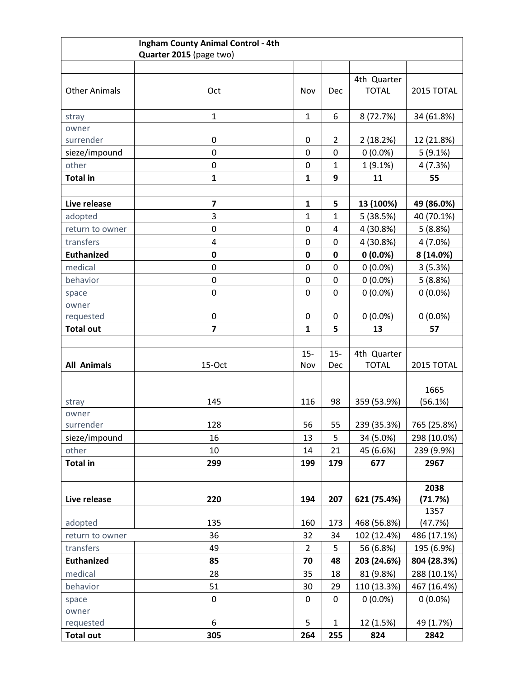| Ingham County Animal Control - 4th |                         |                              |                   |              |                       |
|------------------------------------|-------------------------|------------------------------|-------------------|--------------|-----------------------|
|                                    | Quarter 2015 (page two) |                              |                   |              |                       |
|                                    |                         |                              |                   |              |                       |
|                                    |                         |                              |                   | 4th Quarter  |                       |
| <b>Other Animals</b>               | Oct                     | Nov                          | Dec               | <b>TOTAL</b> | 2015 TOTAL            |
|                                    |                         |                              |                   |              |                       |
| stray                              | $\mathbf{1}$            | $\mathbf{1}$                 | 6                 | 8 (72.7%)    | 34 (61.8%)            |
| owner                              |                         |                              |                   |              |                       |
| surrender                          | $\boldsymbol{0}$        | 0                            | $\overline{2}$    | 2(18.2%)     | 12 (21.8%)            |
| sieze/impound                      | $\mathbf 0$             | 0                            | $\mathbf 0$       | $0(0.0\%)$   | 5(9.1%)               |
| other                              | $\boldsymbol{0}$        | 0                            | $\mathbf{1}$      | 1(9.1%)      | 4(7.3%)               |
| <b>Total in</b>                    | $\mathbf{1}$            | $\mathbf{1}$                 | 9                 | 11           | 55                    |
|                                    |                         |                              |                   |              |                       |
| Live release                       | $\overline{\mathbf{z}}$ | $\mathbf{1}$<br>$\mathbf{1}$ | 5<br>$\mathbf{1}$ | 13 (100%)    | 49 (86.0%)            |
| adopted                            | 3<br>0                  | 0                            | 4                 | 5(38.5%)     | 40 (70.1%)<br>5(8.8%) |
| return to owner                    |                         | 0                            | $\mathbf 0$       | 4 (30.8%)    |                       |
| transfers<br><b>Euthanized</b>     | 4                       |                              | $\mathbf 0$       | 4 (30.8%)    | $4(7.0\%)$            |
|                                    | $\pmb{0}$               | 0<br>0                       | $\mathbf 0$       | $0(0.0\%)$   | 8 (14.0%)             |
| medical                            | $\boldsymbol{0}$        |                              | $\mathbf 0$       | $0(0.0\%)$   | 3(5.3%)               |
| behavior                           | $\pmb{0}$               | 0<br>0                       | $\mathbf 0$       | $0(0.0\%)$   | 5(8.8%)               |
| space<br>owner                     | $\boldsymbol{0}$        |                              |                   | $0(0.0\%)$   | $0(0.0\%)$            |
| requested                          | $\pmb{0}$               | $\pmb{0}$                    | $\mathbf 0$       | $0(0.0\%)$   | $0(0.0\%)$            |
| <b>Total out</b>                   | 7                       | $\mathbf{1}$                 | 5                 | 13           | 57                    |
|                                    |                         |                              |                   |              |                       |
|                                    |                         | $15 -$                       | $15 -$            | 4th Quarter  |                       |
| <b>All Animals</b>                 | 15-Oct                  | Nov                          | Dec               | <b>TOTAL</b> | 2015 TOTAL            |
|                                    |                         |                              |                   |              |                       |
|                                    |                         |                              |                   |              | 1665                  |
| stray                              | 145                     | 116                          | 98                | 359 (53.9%)  | (56.1%)               |
| owner                              |                         |                              |                   |              |                       |
| surrender                          | 128                     | 56                           | 55                | 239 (35.3%)  | 765 (25.8%)           |
| sieze/impound                      | 16                      | 13                           | 5                 | 34 (5.0%)    | 298 (10.0%)           |
| other                              | 10                      | 14                           | 21                | 45 (6.6%)    | 239 (9.9%)            |
| <b>Total in</b>                    | 299                     | 199                          | 179               | 677          | 2967                  |
|                                    |                         |                              |                   |              |                       |
|                                    |                         |                              |                   |              | 2038                  |
| Live release                       | 220                     | 194                          | 207               | 621 (75.4%)  | (71.7%)               |
| adopted                            | 135                     | 160                          | 173               | 468 (56.8%)  | 1357<br>(47.7%)       |
| return to owner                    | 36                      | 32                           | 34                | 102 (12.4%)  | 486 (17.1%)           |
| transfers                          | 49                      | $\overline{2}$               | 5                 | 56 (6.8%)    | 195 (6.9%)            |
| <b>Euthanized</b>                  | 85                      | 70                           | 48                | 203 (24.6%)  | 804 (28.3%)           |
| medical                            | 28                      | 35                           | 18                | 81 (9.8%)    | 288 (10.1%)           |
| behavior                           | 51                      | 30                           | 29                | 110 (13.3%)  | 467 (16.4%)           |
| space                              | $\pmb{0}$               | $\mathbf 0$                  | 0                 | $0(0.0\%)$   | $0(0.0\%)$            |
| owner                              |                         |                              |                   |              |                       |
| requested                          | 6                       | 5                            | $\mathbf{1}$      | 12 (1.5%)    | 49 (1.7%)             |
| <b>Total out</b>                   | 305                     | 264                          | 255               | 824          | 2842                  |
|                                    |                         |                              |                   |              |                       |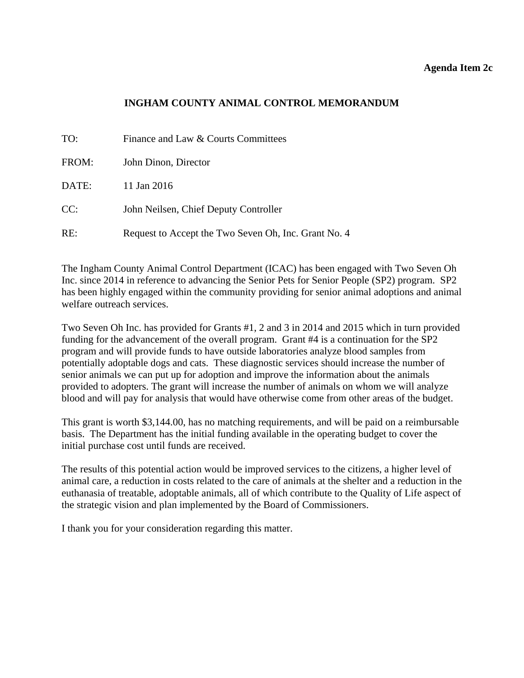#### **Agenda Item 2c**

### **INGHAM COUNTY ANIMAL CONTROL MEMORANDUM**

<span id="page-12-0"></span>

| TO:   | Finance and Law & Courts Committees                  |
|-------|------------------------------------------------------|
| FROM: | John Dinon, Director                                 |
| DATE: | 11 Jan 2016                                          |
| CC:   | John Neilsen, Chief Deputy Controller                |
| RE:   | Request to Accept the Two Seven Oh, Inc. Grant No. 4 |

The Ingham County Animal Control Department (ICAC) has been engaged with Two Seven Oh Inc. since 2014 in reference to advancing the Senior Pets for Senior People (SP2) program. SP2 has been highly engaged within the community providing for senior animal adoptions and animal welfare outreach services.

Two Seven Oh Inc. has provided for Grants #1, 2 and 3 in 2014 and 2015 which in turn provided funding for the advancement of the overall program. Grant #4 is a continuation for the SP2 program and will provide funds to have outside laboratories analyze blood samples from potentially adoptable dogs and cats. These diagnostic services should increase the number of senior animals we can put up for adoption and improve the information about the animals provided to adopters. The grant will increase the number of animals on whom we will analyze blood and will pay for analysis that would have otherwise come from other areas of the budget.

This grant is worth \$3,144.00, has no matching requirements, and will be paid on a reimbursable basis. The Department has the initial funding available in the operating budget to cover the initial purchase cost until funds are received.

The results of this potential action would be improved services to the citizens, a higher level of animal care, a reduction in costs related to the care of animals at the shelter and a reduction in the euthanasia of treatable, adoptable animals, all of which contribute to the Quality of Life aspect of the strategic vision and plan implemented by the Board of Commissioners.

I thank you for your consideration regarding this matter.